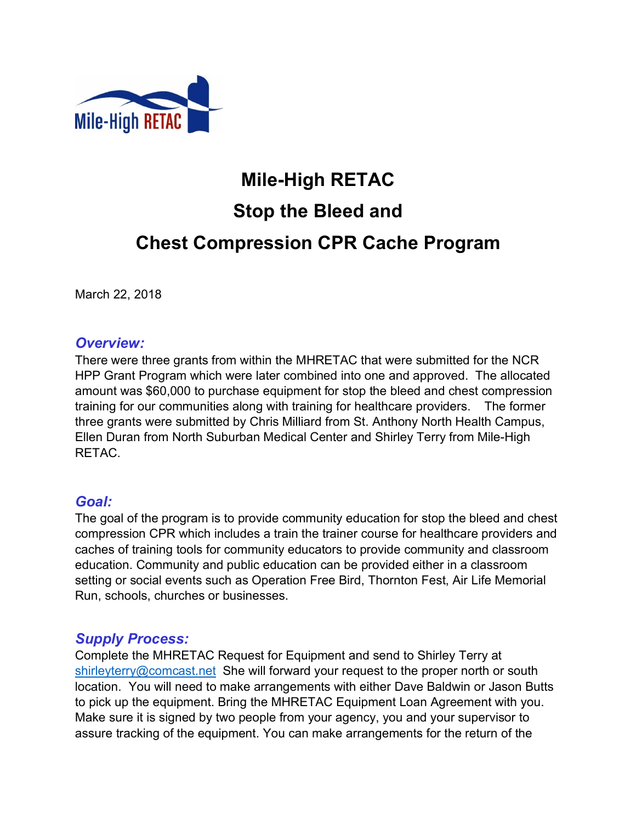

# **Mile-High RETAC Stop the Bleed and Chest Compression CPR Cache Program**

March 22, 2018

#### *Overview:*

There were three grants from within the MHRETAC that were submitted for the NCR HPP Grant Program which were later combined into one and approved. The allocated amount was \$60,000 to purchase equipment for stop the bleed and chest compression training for our communities along with training for healthcare providers. The former three grants were submitted by Chris Milliard from St. Anthony North Health Campus, Ellen Duran from North Suburban Medical Center and Shirley Terry from Mile-High RETAC.

# *Goal:*

The goal of the program is to provide community education for stop the bleed and chest compression CPR which includes a train the trainer course for healthcare providers and caches of training tools for community educators to provide community and classroom education. Community and public education can be provided either in a classroom setting or social events such as Operation Free Bird, Thornton Fest, Air Life Memorial Run, schools, churches or businesses.

# *Supply Process:*

Complete the MHRETAC Request for Equipment and send to Shirley Terry at shirleyterry@comcast.net She will forward your request to the proper north or south location. You will need to make arrangements with either Dave Baldwin or Jason Butts to pick up the equipment. Bring the MHRETAC Equipment Loan Agreement with you. Make sure it is signed by two people from your agency, you and your supervisor to assure tracking of the equipment. You can make arrangements for the return of the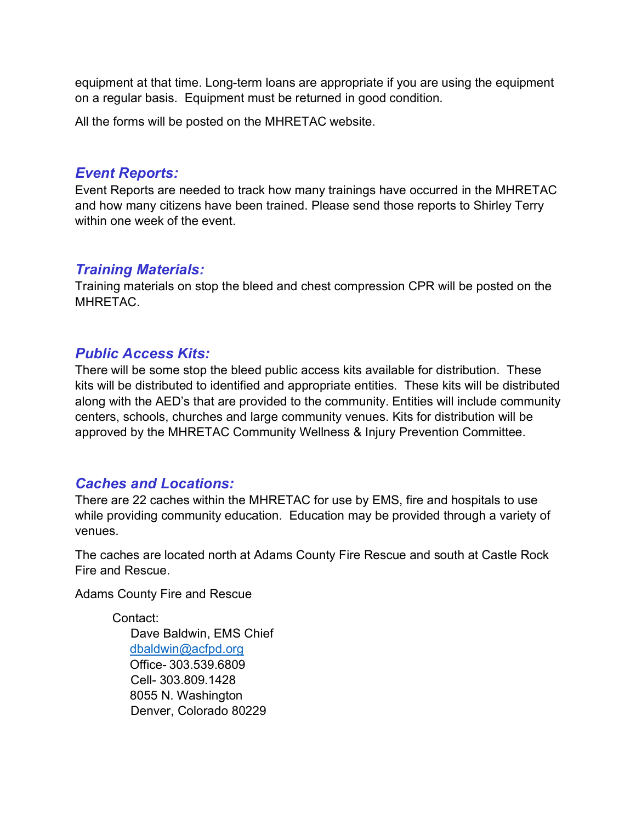equipment at that time. Long-term loans are appropriate if you are using the equipment on a regular basis. Equipment must be returned in good condition.

All the forms will be posted on the MHRETAC website.

#### *Event Reports:*

Event Reports are needed to track how many trainings have occurred in the MHRETAC and how many citizens have been trained. Please send those reports to Shirley Terry within one week of the event.

#### *Training Materials:*

Training materials on stop the bleed and chest compression CPR will be posted on the MHRETAC.

#### *Public Access Kits:*

There will be some stop the bleed public access kits available for distribution. These kits will be distributed to identified and appropriate entities. These kits will be distributed along with the AED's that are provided to the community. Entities will include community centers, schools, churches and large community venues. Kits for distribution will be approved by the MHRETAC Community Wellness & Injury Prevention Committee.

# *Caches and Locations:*

There are 22 caches within the MHRETAC for use by EMS, fire and hospitals to use while providing community education. Education may be provided through a variety of venues.

The caches are located north at Adams County Fire Rescue and south at Castle Rock Fire and Rescue.

Adams County Fire and Rescue

Contact: Dave Baldwin, EMS Chief dbaldwin@acfpd.org Office- 303.539.6809 Cell- 303.809.1428 8055 N. Washington Denver, Colorado 80229